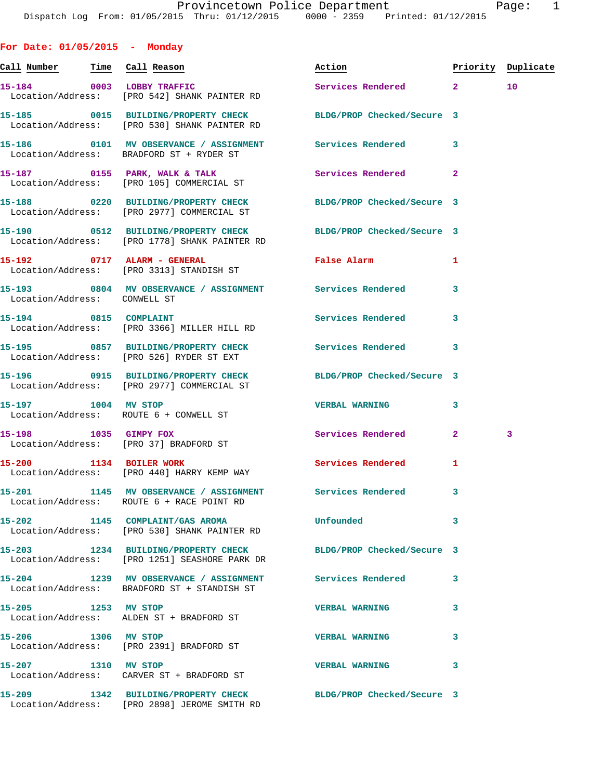| For Date: $01/05/2015$ - Monday |                                                                                                                 |                            |              |                    |
|---------------------------------|-----------------------------------------------------------------------------------------------------------------|----------------------------|--------------|--------------------|
|                                 |                                                                                                                 | Action                     |              | Priority Duplicate |
|                                 | 15-184 0003 LOBBY TRAFFIC<br>Location/Address: [PRO 542] SHANK PAINTER RD                                       | Services Rendered 2        |              | 10 <sup>°</sup>    |
|                                 | 15-185 0015 BUILDING/PROPERTY CHECK<br>Location/Address: [PRO 530] SHANK PAINTER RD                             | BLDG/PROP Checked/Secure 3 |              |                    |
|                                 | 15-186 0101 MV OBSERVANCE / ASSIGNMENT<br>Location/Address: BRADFORD ST + RYDER ST                              | <b>Services Rendered</b>   | 3            |                    |
|                                 | 15-187 0155 PARK, WALK & TALK<br>Location/Address: [PRO 105] COMMERCIAL ST                                      | Services Rendered          | $\mathbf{2}$ |                    |
|                                 | 15-188 0220 BUILDING/PROPERTY CHECK<br>Location/Address: [PRO 2977] COMMERCIAL ST                               | BLDG/PROP Checked/Secure 3 |              |                    |
|                                 | 15-190 0512 BUILDING/PROPERTY CHECK<br>Location/Address: [PRO 1778] SHANK PAINTER RD                            | BLDG/PROP Checked/Secure 3 |              |                    |
|                                 | 15-192 0717 ALARM - GENERAL<br>Location/Address: [PRO 3313] STANDISH ST                                         | False Alarm                | 1            |                    |
| Location/Address: CONWELL ST    | 15-193 0804 MV OBSERVANCE / ASSIGNMENT Services Rendered                                                        |                            | 3            |                    |
| 15-194 0815 COMPLAINT           | Location/Address: [PRO 3366] MILLER HILL RD                                                                     | Services Rendered          | 3            |                    |
|                                 | 15-195 0857 BUILDING/PROPERTY CHECK<br>Location/Address: [PRO 526] RYDER ST EXT                                 | <b>Services Rendered</b>   | 3            |                    |
|                                 | 15-196 0915 BUILDING/PROPERTY CHECK<br>Location/Address: [PRO 2977] COMMERCIAL ST                               | BLDG/PROP Checked/Secure 3 |              |                    |
| 15-197 1004 MV STOP             | Location/Address: ROUTE 6 + CONWELL ST                                                                          | <b>VERBAL WARNING</b>      | 3            |                    |
| 15-198 1035 GIMPY FOX           | Location/Address: [PRO 37] BRADFORD ST                                                                          | Services Rendered          | $\mathbf{2}$ | 3                  |
| 15-200 1134 BOILER WORK         | Location/Address: [PRO 440] HARRY KEMP WAY                                                                      | Services Rendered          | -1           |                    |
| $15 - 201$                      | 1145 MV OBSERVANCE / ASSIGNMENT Services Rendered<br>Location/Address: ROUTE 6 + RACE POINT RD                  |                            | 3            |                    |
|                                 | 15-202 1145 COMPLAINT/GAS AROMA<br>Location/Address: [PRO 530] SHANK PAINTER RD                                 | Unfounded                  | 3            |                    |
|                                 | 15-203 1234 BUILDING/PROPERTY CHECK BLDG/PROP Checked/Secure 3<br>Location/Address: [PRO 1251] SEASHORE PARK DR |                            |              |                    |
|                                 | 15-204 1239 MV OBSERVANCE / ASSIGNMENT Services Rendered<br>Location/Address: BRADFORD ST + STANDISH ST         |                            | 3            |                    |
| 15-205 1253 MV STOP             | Location/Address: ALDEN ST + BRADFORD ST                                                                        | <b>VERBAL WARNING</b>      | 3            |                    |
| 15-206 1306 MV STOP             | Location/Address: [PRO 2391] BRADFORD ST                                                                        | <b>VERBAL WARNING</b>      | 3            |                    |
| 15-207 1310 MV STOP             | Location/Address: CARVER ST + BRADFORD ST                                                                       | <b>VERBAL WARNING</b>      | 3            |                    |
| 15-209                          | 1342 BUILDING/PROPERTY CHECK BLDG/PROP Checked/Secure 3<br>Location/Address: [PRO 2898] JEROME SMITH RD         |                            |              |                    |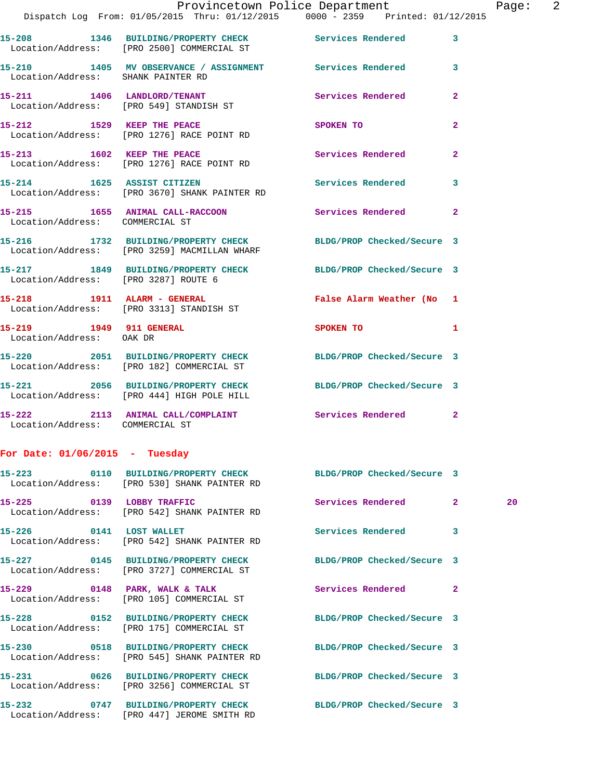**15-210 1405 MV OBSERVANCE / ASSIGNMENT Services Rendered 3**  Location/Address: SHANK PAINTER RD

**15-211 1406 LANDLORD/TENANT Services Rendered 2**  Location/Address: [PRO 549] STANDISH ST

**15-212 1529 KEEP THE PEACE SPOKEN TO 2**  Location/Address: [PRO 1276] RACE POINT RD

**15-213 1602 KEEP THE PEACE Services Rendered 2**  Location/Address: [PRO 1276] RACE POINT RD

**15-214 1625 ASSIST CITIZEN Services Rendered 3**  Location/Address: [PRO 3670] SHANK PAINTER RD

**15-215 1655 ANIMAL CALL-RACCOON Services Rendered 2**  Location/Address: COMMERCIAL ST

**15-216 1732 BUILDING/PROPERTY CHECK BLDG/PROP Checked/Secure 3**  Location/Address: [PRO 3259] MACMILLAN WHARF

**15-217 1849 BUILDING/PROPERTY CHECK BLDG/PROP Checked/Secure 3**  Location/Address: [PRO 3287] ROUTE 6

**15-218 1911 ALARM - GENERAL False Alarm Weather (No 1**  Location/Address: [PRO 3313] STANDISH ST

**15-219 1949 911 GENERAL SPOKEN TO 1**  Location/Address: OAK DR

**15-220 2051 BUILDING/PROPERTY CHECK BLDG/PROP Checked/Secure 3**  Location/Address: [PRO 182] COMMERCIAL ST

**15-221 2056 BUILDING/PROPERTY CHECK BLDG/PROP Checked/Secure 3**  Location/Address: [PRO 444] HIGH POLE HILL

**15-222 2113 ANIMAL CALL/COMPLAINT Services Rendered 2**  Location/Address: COMMERCIAL ST

**For Date: 01/06/2015 - Tuesday**

|                         | 15-223 0110 BUILDING/PROPERTY CHECK BLDG/PROP Checked/Secure 3<br>Location/Address: [PRO 530] SHANK PAINTER RD |                            |                |    |
|-------------------------|----------------------------------------------------------------------------------------------------------------|----------------------------|----------------|----|
|                         | 15-225 0139 LOBBY TRAFFIC<br>Location/Address: [PRO 542] SHANK PAINTER RD                                      | Services Rendered 2        |                | 20 |
| 15-226 0141 LOST WALLET | Location/Address: [PRO 542] SHANK PAINTER RD                                                                   | <b>Services Rendered</b> 3 |                |    |
|                         | 15-227 0145 BUILDING/PROPERTY CHECK BLDG/PROP Checked/Secure 3<br>Location/Address: [PRO 3727] COMMERCIAL ST   |                            |                |    |
|                         | 15-229 0148 PARK, WALK & TALK Services Rendered<br>Location/Address: [PRO 105] COMMERCIAL ST                   |                            | $\overline{2}$ |    |
|                         | 15-228 0152 BUILDING/PROPERTY CHECK BLDG/PROP Checked/Secure 3<br>Location/Address: [PRO 175] COMMERCIAL ST    |                            |                |    |
|                         | 15-230 0518 BUILDING/PROPERTY CHECK BLDG/PROP Checked/Secure 3<br>Location/Address: [PRO 545] SHANK PAINTER RD |                            |                |    |
|                         | 15-231 0626 BUILDING/PROPERTY CHECK BLDG/PROP Checked/Secure 3<br>Location/Address: [PRO 3256] COMMERCIAL ST   |                            |                |    |
|                         | 15-232 0747 BUILDING/PROPERTY CHECK BLDG/PROP Checked/Secure 3<br>Location/Address: [PRO 447] JEROME SMITH RD  |                            |                |    |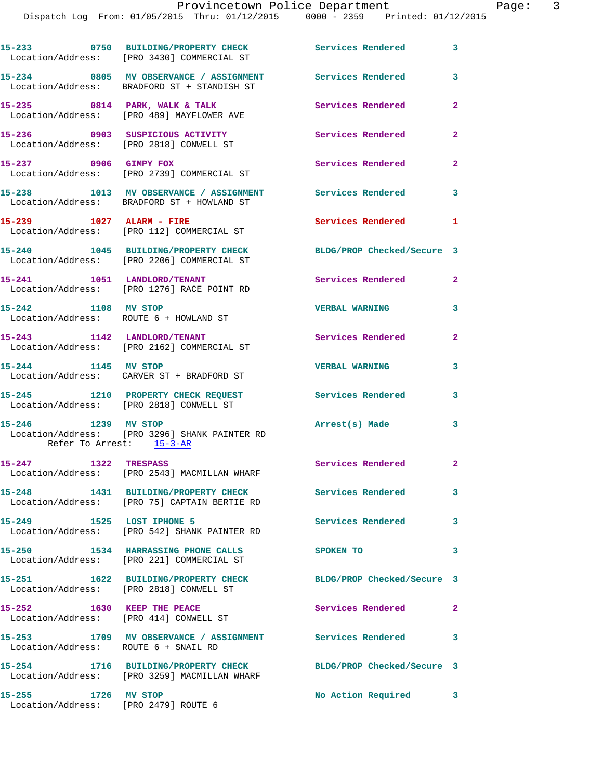## Provincetown Police Department Page: 3

|                      | 15-233 0750 BUILDING/PROPERTY CHECK Services Rendered<br>Location/Address: [PRO 3430] COMMERCIAL ST     |                            | 3              |
|----------------------|---------------------------------------------------------------------------------------------------------|----------------------------|----------------|
|                      | 15-234 0805 MV OBSERVANCE / ASSIGNMENT Services Rendered<br>Location/Address: BRADFORD ST + STANDISH ST |                            | $\mathbf{3}$   |
|                      | 15-235 0814 PARK, WALK & TALK<br>Location/Address: [PRO 489] MAYFLOWER AVE                              | Services Rendered          | $\overline{a}$ |
|                      | 15-236 0903 SUSPICIOUS ACTIVITY<br>Location/Address: [PRO 2818] CONWELL ST                              | <b>Services Rendered</b>   | $\mathbf{2}$   |
|                      | 15-237 0906 GIMPY FOX<br>Location/Address: [PRO 2739] COMMERCIAL ST                                     | Services Rendered          | $\overline{2}$ |
|                      | 15-238 1013 MV OBSERVANCE / ASSIGNMENT Services Rendered<br>Location/Address: BRADFORD ST + HOWLAND ST  |                            | 3              |
|                      | 15-239 1027 ALARM - FIRE<br>Location/Address: [PRO 112] COMMERCIAL ST                                   | Services Rendered          | $\blacksquare$ |
|                      | 15-240 1045 BUILDING/PROPERTY CHECK<br>Location/Address: [PRO 2206] COMMERCIAL ST                       | BLDG/PROP Checked/Secure 3 |                |
|                      | 15-241 1051 LANDLORD/TENANT<br>Location/Address: [PRO 1276] RACE POINT RD                               | Services Rendered 2        |                |
|                      | 15-242 1108 MV STOP<br>Location/Address: ROUTE 6 + HOWLAND ST                                           | <b>VERBAL WARNING</b>      | 3              |
|                      | 15-243 1142 LANDLORD/TENANT<br>Location/Address: [PRO 2162] COMMERCIAL ST                               | <b>Services Rendered</b>   | $\mathbf{2}$   |
|                      | 15-244 1145 MV STOP<br>Location/Address: CARVER ST + BRADFORD ST                                        | <b>VERBAL WARNING</b>      | 3              |
|                      | 15-245 1210 PROPERTY CHECK REQUEST<br>Location/Address: [PRO 2818] CONWELL ST                           | Services Rendered          | 3              |
|                      | 15-246 1239 MV STOP<br>Location/Address: [PRO 3296] SHANK PAINTER RD<br>Refer To Arrest: 15-3-AR        | Arrest(s) Made             | 3              |
| 15-247 1322 TRESPASS | Location/Address: [PRO 2543] MACMILLAN WHARF                                                            | Services Rendered          |                |
|                      | 15-248 1431 BUILDING/PROPERTY CHECK<br>Location/Address: [PRO 75] CAPTAIN BERTIE RD                     | <b>Services Rendered</b>   | 3              |
|                      | 15-249 1525 LOST IPHONE 5<br>Location/Address: [PRO 542] SHANK PAINTER RD                               | Services Rendered 3        |                |
|                      | 15-250 1534 HARRASSING PHONE CALLS<br>Location/Address: [PRO 221] COMMERCIAL ST                         | SPOKEN TO                  | 3              |
|                      | 15-251 1622 BUILDING/PROPERTY CHECK<br>Location/Address: [PRO 2818] CONWELL ST                          | BLDG/PROP Checked/Secure 3 |                |
|                      | 15-252 1630 KEEP THE PEACE<br>Location/Address: [PRO 414] CONWELL ST                                    | Services Rendered          | $\mathbf{2}$   |
|                      | 15-253 1709 MV OBSERVANCE / ASSIGNMENT Services Rendered<br>Location/Address: ROUTE 6 + SNAIL RD        |                            | 3              |
|                      | 15-254 1716 BUILDING/PROPERTY CHECK<br>Location/Address: [PRO 3259] MACMILLAN WHARF                     | BLDG/PROP Checked/Secure 3 |                |
| 15-255 1726 MV STOP  | Location/Address: [PRO 2479] ROUTE 6                                                                    | No Action Required         | 3              |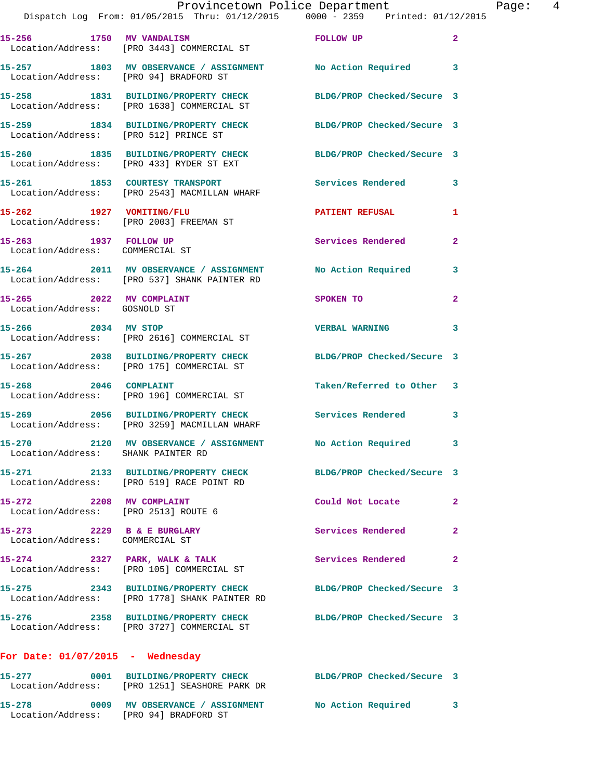|                                                                  | Provincetown Police Department Page: 4<br>Dispatch Log From: 01/05/2015 Thru: 01/12/2015 0000 - 2359 Printed: 01/12/2015 |                            |              |  |
|------------------------------------------------------------------|--------------------------------------------------------------------------------------------------------------------------|----------------------------|--------------|--|
|                                                                  | 15-256 1750 MV VANDALISM<br>Location/Address: [PRO 3443] COMMERCIAL ST                                                   | FOLLOW UP                  | $\mathbf{2}$ |  |
|                                                                  | 15-257 1803 MV OBSERVANCE / ASSIGNMENT No Action Required 3<br>Location/Address: [PRO 94] BRADFORD ST                    |                            |              |  |
|                                                                  | 15-258 1831 BUILDING/PROPERTY CHECK BLDG/PROP Checked/Secure 3<br>Location/Address: [PRO 1638] COMMERCIAL ST             |                            |              |  |
|                                                                  | 15-259 1834 BUILDING/PROPERTY CHECK BLDG/PROP Checked/Secure 3<br>Location/Address: [PRO 512] PRINCE ST                  |                            |              |  |
|                                                                  | 15-260 1835 BUILDING/PROPERTY CHECK BLDG/PROP Checked/Secure 3<br>Location/Address: [PRO 433] RYDER ST EXT               |                            |              |  |
|                                                                  | 15-261 1853 COURTESY TRANSPORT Services Rendered<br>Location/Address: [PRO 2543] MACMILLAN WHARF                         |                            | $\mathbf{3}$ |  |
|                                                                  | 15-262 1927 VOMITING/FLU<br>Location/Address: [PRO 2003] FREEMAN ST                                                      | PATIENT REFUSAL            | 1            |  |
| 15-263 1937 FOLLOW UP<br>Location/Address: COMMERCIAL ST         |                                                                                                                          | Services Rendered          | $\mathbf{2}$ |  |
|                                                                  | 15-264 2011 MV OBSERVANCE / ASSIGNMENT No Action Required 3<br>Location/Address: [PRO 537] SHANK PAINTER RD              |                            |              |  |
| 15-265 2022 MV COMPLAINT<br>Location/Address: GOSNOLD ST         |                                                                                                                          | SPOKEN TO                  | $\mathbf{2}$ |  |
| 15-266 2034 MV STOP                                              | Location/Address: [PRO 2616] COMMERCIAL ST                                                                               | <b>VERBAL WARNING</b>      | 3            |  |
|                                                                  | 15-267 2038 BUILDING/PROPERTY CHECK BLDG/PROP Checked/Secure 3<br>Location/Address: [PRO 175] COMMERCIAL ST              |                            |              |  |
| 15-268 2046 COMPLAINT                                            | Location/Address: [PRO 196] COMMERCIAL ST                                                                                | Taken/Referred to Other 3  |              |  |
|                                                                  | 15-269 2056 BUILDING/PROPERTY CHECK Services Rendered 3<br>Location/Address: [PRO 3259] MACMILLAN WHARF                  |                            |              |  |
| Location/Address: SHANK PAINTER RD                               | 15-270 2120 MV OBSERVANCE / ASSIGNMENT No Action Required 3                                                              |                            |              |  |
|                                                                  | 15-271 2133 BUILDING/PROPERTY CHECK BLDG/PROP Checked/Secure 3<br>Location/Address: [PRO 519] RACE POINT RD              |                            |              |  |
| 15-272 2208 MV COMPLAINT<br>Location/Address: [PRO 2513] ROUTE 6 |                                                                                                                          | Could Not Locate           | $\mathbf{2}$ |  |
| 15-273 2229 B & E BURGLARY<br>Location/Address: COMMERCIAL ST    |                                                                                                                          | Services Rendered          | $\mathbf{2}$ |  |
|                                                                  | 15-274 2327 PARK, WALK & TALK<br>Location/Address: [PRO 105] COMMERCIAL ST                                               | Services Rendered          | $\mathbf{2}$ |  |
|                                                                  | 15-275 2343 BUILDING/PROPERTY CHECK<br>Location/Address: [PRO 1778] SHANK PAINTER RD                                     | BLDG/PROP Checked/Secure 3 |              |  |
|                                                                  | 15-276 2358 BUILDING/PROPERTY CHECK BLDG/PROP Checked/Secure 3<br>Location/Address: [PRO 3727] COMMERCIAL ST             |                            |              |  |
| For Date: $01/07/2015$ - Wednesday                               |                                                                                                                          |                            |              |  |
| 15-277                                                           | 0001 BUILDING/PROPERTY CHECK BLDG/PROP Checked/Secure 3<br>Location/Address: [PRO 1251] SEASHORE PARK DR                 |                            |              |  |

**15-278 0009 MV OBSERVANCE / ASSIGNMENT No Action Required 3** 

Location/Address: [PRO 94] BRADFORD ST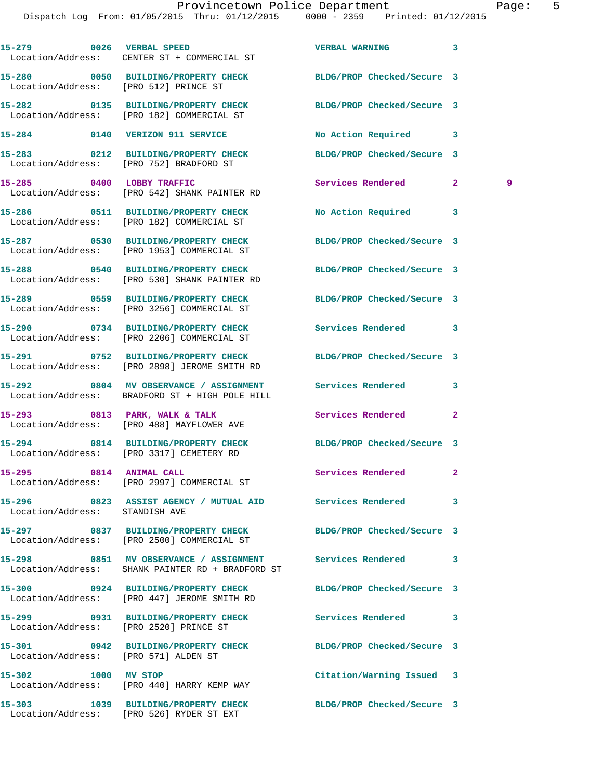|                                        | 15-279 0026 VERBAL SPEED<br>Location/Address: CENTER ST + COMMERCIAL ST                                       | <b>VERBAL WARNING</b>      | 3                   |
|----------------------------------------|---------------------------------------------------------------------------------------------------------------|----------------------------|---------------------|
| Location/Address: [PRO 512] PRINCE ST  | 15-280 0050 BUILDING/PROPERTY CHECK                                                                           | BLDG/PROP Checked/Secure 3 |                     |
|                                        | 15-282 0135 BUILDING/PROPERTY CHECK<br>Location/Address: [PRO 182] COMMERCIAL ST                              | BLDG/PROP Checked/Secure 3 |                     |
|                                        | 15-284 0140 VERIZON 911 SERVICE                                                                               | No Action Required 3       |                     |
|                                        | 15-283 0212 BUILDING/PROPERTY CHECK BLDG/PROP Checked/Secure 3<br>Location/Address: [PRO 752] BRADFORD ST     |                            |                     |
|                                        | 15-285 0400 LOBBY TRAFFIC<br>Location/Address: [PRO 542] SHANK PAINTER RD                                     | Services Rendered          | $\mathbf{2}^-$<br>9 |
|                                        | 15-286 0511 BUILDING/PROPERTY CHECK<br>Location/Address: [PRO 182] COMMERCIAL ST                              | No Action Required         | 3                   |
|                                        | 15-287 0530 BUILDING/PROPERTY CHECK<br>Location/Address: [PRO 1953] COMMERCIAL ST                             | BLDG/PROP Checked/Secure 3 |                     |
|                                        | 15-288 0540 BUILDING/PROPERTY CHECK<br>Location/Address: [PRO 530] SHANK PAINTER RD                           | BLDG/PROP Checked/Secure 3 |                     |
|                                        | 15-289 0559 BUILDING/PROPERTY CHECK BLDG/PROP Checked/Secure 3<br>Location/Address: [PRO 3256] COMMERCIAL ST  |                            |                     |
|                                        | 15-290 0734 BUILDING/PROPERTY CHECK<br>Location/Address: [PRO 2206] COMMERCIAL ST                             | Services Rendered          | 3                   |
|                                        | 15-291 0752 BUILDING/PROPERTY CHECK<br>Location/Address: [PRO 2898] JEROME SMITH RD                           | BLDG/PROP Checked/Secure 3 |                     |
|                                        | 15-292 0804 MV OBSERVANCE / ASSIGNMENT Services Rendered<br>Location/Address: BRADFORD ST + HIGH POLE HILL    |                            | 3                   |
|                                        | 15-293 0813 PARK, WALK & TALK<br>Location/Address: [PRO 488] MAYFLOWER AVE                                    | Services Rendered          | $\mathbf{2}$        |
|                                        | 15-294 0814 BUILDING/PROPERTY CHECK BLDG/PROP Checked/Secure 3<br>Location/Address: [PRO 3317] CEMETERY RD    |                            |                     |
| 15-295 0814 ANIMAL CALL                | Location/Address: [PRO 2997] COMMERCIAL ST                                                                    | Services Rendered          |                     |
| Location/Address: STANDISH AVE         | 15-296 6823 ASSIST AGENCY / MUTUAL AID Services Rendered                                                      |                            | 3                   |
|                                        | 15-297 0837 BUILDING/PROPERTY CHECK BLDG/PROP Checked/Secure 3<br>Location/Address: [PRO 2500] COMMERCIAL ST  |                            |                     |
|                                        | 15-298 6851 MV OBSERVANCE / ASSIGNMENT Services Rendered<br>Location/Address: SHANK PAINTER RD + BRADFORD ST  |                            | 3                   |
|                                        | 15-300 0924 BUILDING/PROPERTY CHECK BLDG/PROP Checked/Secure 3<br>Location/Address: [PRO 447] JEROME SMITH RD |                            |                     |
| Location/Address: [PRO 2520] PRINCE ST | 15-299 0931 BUILDING/PROPERTY CHECK                                                                           | Services Rendered          | 3                   |
| Location/Address: [PRO 571] ALDEN ST   | 15-301 0942 BUILDING/PROPERTY CHECK BLDG/PROP Checked/Secure 3                                                |                            |                     |
| 15-302 1000 MV STOP                    | Location/Address: [PRO 440] HARRY KEMP WAY                                                                    | Citation/Warning Issued 3  |                     |
|                                        | 15-303 1039 BUILDING/PROPERTY CHECK BLDG/PROP Checked/Secure 3<br>Location/Address: [PRO 526] RYDER ST EXT    |                            |                     |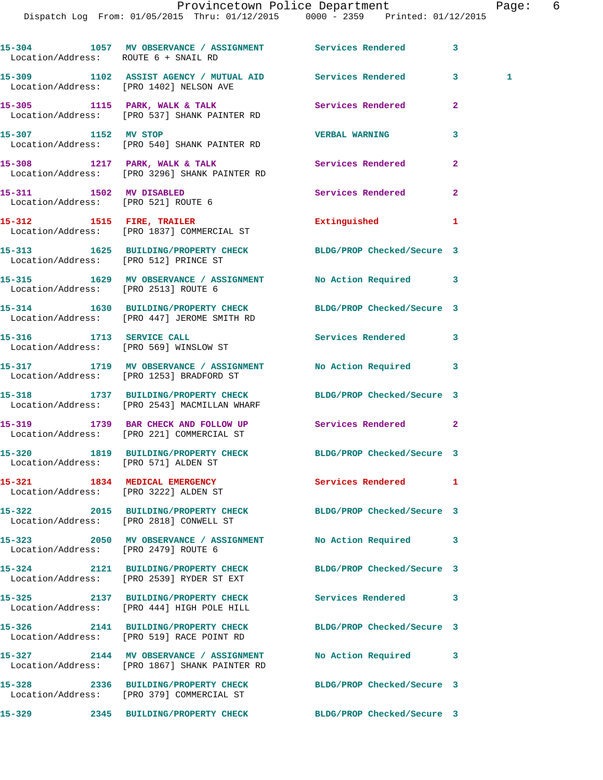## Provincetown Police Department The Page: 6

Dispatch Log From: 01/05/2015 Thru: 01/12/2015 0000 - 2359 Printed: 01/12/2015

| Location/Address: ROUTE 6 + SNAIL RD  | 15-304 1057 MV OBSERVANCE / ASSIGNMENT Services Rendered                                                       |                            | 3                   |
|---------------------------------------|----------------------------------------------------------------------------------------------------------------|----------------------------|---------------------|
|                                       | 15-309 1102 ASSIST AGENCY / MUTUAL AID Services Rendered<br>Location/Address: [PRO 1402] NELSON AVE            |                            | 3 <sup>1</sup><br>1 |
|                                       | 15-305 1115 PARK, WALK & TALK 1988 Services Rendered<br>Location/Address: [PRO 537] SHANK PAINTER RD           |                            | $\overline{a}$      |
| 15-307 1152 MV STOP                   | Location/Address: [PRO 540] SHANK PAINTER RD                                                                   | <b>VERBAL WARNING</b>      | 3                   |
|                                       | 15-308 1217 PARK, WALK & TALK 1988 Services Rendered<br>Location/Address: [PRO 3296] SHANK PAINTER RD          |                            | $\mathbf{2}$        |
| 15-311 1502 MV DISABLED               | Location/Address: [PRO 521] ROUTE 6                                                                            | Services Rendered          | $\overline{2}$      |
|                                       | 15-312 1515 FIRE, TRAILER<br>Location/Address: [PRO 1837] COMMERCIAL ST                                        | Extinguished               | 1                   |
| Location/Address: [PRO 512] PRINCE ST | 15-313 1625 BUILDING/PROPERTY CHECK BLDG/PROP Checked/Secure 3                                                 |                            |                     |
| Location/Address: [PRO 2513] ROUTE 6  | 15-315 1629 MV OBSERVANCE / ASSIGNMENT No Action Required                                                      |                            | 3                   |
|                                       | 15-314 1630 BUILDING/PROPERTY CHECK BLDG/PROP Checked/Secure 3<br>Location/Address: [PRO 447] JEROME SMITH RD  |                            |                     |
|                                       | 15-316 1713 SERVICE CALL<br>Location/Address: [PRO 569] WINSLOW ST                                             | Services Rendered          | 3                   |
|                                       | 15-317 1719 MV OBSERVANCE / ASSIGNMENT No Action Required<br>Location/Address: [PRO 1253] BRADFORD ST          |                            | 3                   |
|                                       | 15-318 1737 BUILDING/PROPERTY CHECK BLDG/PROP Checked/Secure 3<br>Location/Address: [PRO 2543] MACMILLAN WHARF |                            |                     |
|                                       | 15-319 1739 BAR CHECK AND FOLLOW UP Services Rendered<br>Location/Address: [PRO 221] COMMERCIAL ST             |                            | $\mathbf{2}$        |
|                                       | 15-320 1819 BUILDING/PROPERTY CHECK BLDG/PROP Checked/Secure 3<br>Location/Address: [PRO 571] ALDEN ST         |                            |                     |
|                                       | 15-321 1834 MEDICAL EMERGENCY<br>Location/Address: [PRO 3222] ALDEN ST                                         | Services Rendered          | 1                   |
|                                       | 15-322 2015 BUILDING/PROPERTY CHECK BLDG/PROP Checked/Secure 3<br>Location/Address: [PRO 2818] CONWELL ST      |                            |                     |
| Location/Address: [PRO 2479] ROUTE 6  | 15-323 2050 MV OBSERVANCE / ASSIGNMENT No Action Required                                                      |                            | 3                   |
|                                       | 15-324 2121 BUILDING/PROPERTY CHECK<br>Location/Address: [PRO 2539] RYDER ST EXT                               | BLDG/PROP Checked/Secure 3 |                     |
|                                       | 15-325 2137 BUILDING/PROPERTY CHECK<br>Location/Address: [PRO 444] HIGH POLE HILL                              | <b>Services Rendered</b>   | 3                   |
|                                       | 15-326 2141 BUILDING/PROPERTY CHECK<br>Location/Address: [PRO 519] RACE POINT RD                               | BLDG/PROP Checked/Secure 3 |                     |
|                                       | 15-327 2144 MV OBSERVANCE / ASSIGNMENT<br>Location/Address: [PRO 1867] SHANK PAINTER RD                        | No Action Required         | 3                   |
|                                       | 15-328 2336 BUILDING/PROPERTY CHECK<br>Location/Address: [PRO 379] COMMERCIAL ST                               | BLDG/PROP Checked/Secure 3 |                     |
|                                       | 15-329 2345 BUILDING/PROPERTY CHECK                                                                            | BLDG/PROP Checked/Secure 3 |                     |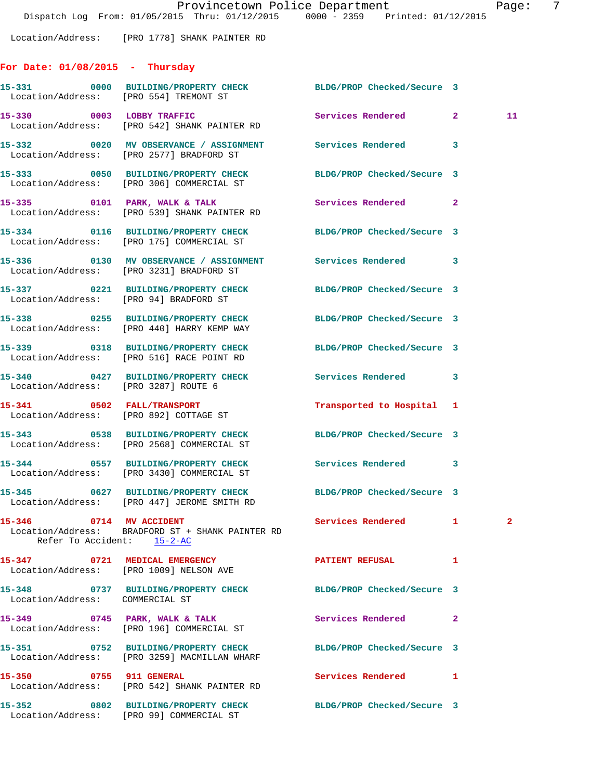Location/Address: [PRO 1778] SHANK PAINTER RD

## **For Date: 01/08/2015 - Thursday**

|                                 | 15-331 0000 BUILDING/PROPERTY CHECK<br>Location/Address: [PRO 554] TREMONT ST                                 | BLDG/PROP Checked/Secure 3 |                |    |
|---------------------------------|---------------------------------------------------------------------------------------------------------------|----------------------------|----------------|----|
|                                 | 15-330 0003 LOBBY TRAFFIC<br>Location/Address: [PRO 542] SHANK PAINTER RD                                     | Services Rendered 2        |                | 11 |
|                                 | 15-332 0020 MV OBSERVANCE / ASSIGNMENT Services Rendered<br>Location/Address: [PRO 2577] BRADFORD ST          |                            | 3              |    |
|                                 | 15-333 0050 BUILDING/PROPERTY CHECK BLDG/PROP Checked/Secure 3<br>Location/Address: [PRO 306] COMMERCIAL ST   |                            |                |    |
|                                 | 15-335 0101 PARK, WALK & TALK<br>Location/Address: [PRO 539] SHANK PAINTER RD                                 | <b>Services Rendered</b>   | $\mathbf{2}$   |    |
|                                 | 15-334 0116 BUILDING/PROPERTY CHECK BLDG/PROP Checked/Secure 3<br>Location/Address: [PRO 175] COMMERCIAL ST   |                            |                |    |
|                                 | 15-336 			 0130 		MV OBSERVANCE / ASSIGNMENT Services Rendered<br>Location/Address: [PRO 3231] BRADFORD ST    |                            | 3              |    |
|                                 | 15-337 0221 BUILDING/PROPERTY CHECK BLDG/PROP Checked/Secure 3<br>Location/Address: [PRO 94] BRADFORD ST      |                            |                |    |
|                                 | 15-338 0255 BUILDING/PROPERTY CHECK<br>Location/Address: [PRO 440] HARRY KEMP WAY                             | BLDG/PROP Checked/Secure 3 |                |    |
|                                 | 15-339 0318 BUILDING/PROPERTY CHECK<br>Location/Address: [PRO 516] RACE POINT RD                              | BLDG/PROP Checked/Secure 3 |                |    |
|                                 | 15-340 0427 BUILDING/PROPERTY CHECK<br>Location/Address: [PRO 3287] ROUTE 6                                   | Services Rendered 3        |                |    |
|                                 | 15-341 0502 FALL/TRANSPORT<br>Location/Address: [PRO 892] COTTAGE ST                                          | Transported to Hospital 1  |                |    |
|                                 | 15-343 0538 BUILDING/PROPERTY CHECK<br>Location/Address: [PRO 2568] COMMERCIAL ST                             | BLDG/PROP Checked/Secure 3 |                |    |
|                                 | 15-344 0557 BUILDING/PROPERTY CHECK<br>Location/Address: [PRO 3430] COMMERCIAL ST                             | Services Rendered          | 3              |    |
|                                 | 15-345 0627 BUILDING/PROPERTY CHECK BLDG/PROP Checked/Secure 3<br>Location/Address: [PRO 447] JEROME SMITH RD |                            |                |    |
|                                 | 15-346 0714 MV ACCIDENT<br>Location/Address: BRADFORD ST + SHANK PAINTER RD<br>Refer To Accident: 15-2-AC     | Services Rendered 1 2      |                |    |
|                                 | 15-347 0721 MEDICAL EMERGENCY<br>Location/Address: [PRO 1009] NELSON AVE                                      | PATIENT REFUSAL            | 1              |    |
| Location/Address: COMMERCIAL ST | 15-348 0737 BUILDING/PROPERTY CHECK BLDG/PROP Checked/Secure 3                                                |                            |                |    |
|                                 | 15-349 0745 PARK, WALK & TALK<br>Location/Address: [PRO 196] COMMERCIAL ST                                    | Services Rendered          | $\overline{2}$ |    |
|                                 | 15-351 0752 BUILDING/PROPERTY CHECK<br>Location/Address: [PRO 3259] MACMILLAN WHARF                           | BLDG/PROP Checked/Secure 3 |                |    |
| 15-350 0755 911 GENERAL         | Location/Address: [PRO 542] SHANK PAINTER RD                                                                  | Services Rendered          | 1              |    |
|                                 | 15-352 0802 BUILDING/PROPERTY CHECK<br>Location/Address: [PRO 99] COMMERCIAL ST                               | BLDG/PROP Checked/Secure 3 |                |    |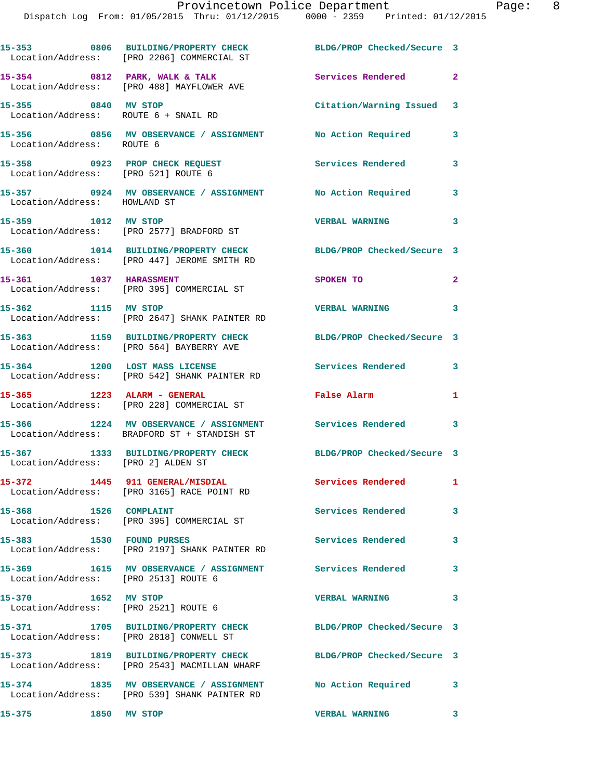|                                                             | 15-353 0806 BUILDING/PROPERTY CHECK<br>Location/Address: [PRO 2206] COMMERCIAL ST                  | BLDG/PROP Checked/Secure 3 |                         |
|-------------------------------------------------------------|----------------------------------------------------------------------------------------------------|----------------------------|-------------------------|
|                                                             | 15-354 0812 PARK, WALK & TALK<br>Location/Address: [PRO 488] MAYFLOWER AVE                         | Services Rendered 2        |                         |
| 15-355 0840 MV STOP<br>Location/Address: ROUTE 6 + SNAIL RD |                                                                                                    | Citation/Warning Issued 3  |                         |
| Location/Address: ROUTE 6                                   | 15-356 0856 MV OBSERVANCE / ASSIGNMENT                                                             | No Action Required         | 3                       |
| Location/Address: [PRO 521] ROUTE 6                         | 15-358 0923 PROP CHECK REQUEST                                                                     | Services Rendered          | 3                       |
| Location/Address: HOWLAND ST                                | 15-357 0924 MV OBSERVANCE / ASSIGNMENT                                                             | No Action Required 3       |                         |
| 15-359 1012 MV STOP                                         | Location/Address: [PRO 2577] BRADFORD ST                                                           | <b>VERBAL WARNING</b>      | 3                       |
|                                                             | 15-360 1014 BUILDING/PROPERTY CHECK<br>Location/Address: [PRO 447] JEROME SMITH RD                 | BLDG/PROP Checked/Secure 3 |                         |
| 15-361 1037 HARASSMENT                                      | Location/Address: [PRO 395] COMMERCIAL ST                                                          | SPOKEN TO                  | $\mathbf{2}$            |
| 15-362 1115 MV STOP                                         | Location/Address: [PRO 2647] SHANK PAINTER RD                                                      | <b>VERBAL WARNING</b>      | 3                       |
|                                                             | 15-363 1159 BUILDING/PROPERTY CHECK<br>Location/Address: [PRO 564] BAYBERRY AVE                    | BLDG/PROP Checked/Secure 3 |                         |
|                                                             | 15-364 1200 LOST MASS LICENSE<br>Location/Address: [PRO 542] SHANK PAINTER RD                      | <b>Services Rendered</b>   | 3                       |
| 15-365 1223 ALARM - GENERAL                                 | Location/Address: [PRO 228] COMMERCIAL ST                                                          | False Alarm                | 1                       |
|                                                             | 15-366 1224 MV OBSERVANCE / ASSIGNMENT<br>Location/Address: BRADFORD ST + STANDISH ST              | Services Rendered 3        |                         |
| Location/Address: [PRO 2] ALDEN ST                          | 15-367 1333 BUILDING/PROPERTY CHECK BLDG/PROP Checked/Secure 3                                     |                            |                         |
| 15-372                                                      | 1445 911 GENERAL/MISDIAL<br>Location/Address: [PRO 3165] RACE POINT RD                             | Services Rendered          | $\mathbf{1}$            |
| 1526 COMPLAINT<br>15-368                                    | Location/Address: [PRO 395] COMMERCIAL ST                                                          | Services Rendered          | 3                       |
| 15-383 1530 FOUND PURSES                                    | Location/Address: [PRO 2197] SHANK PAINTER RD                                                      | <b>Services Rendered</b>   | 3                       |
| Location/Address: [PRO 2513] ROUTE 6                        | 15-369 1615 MV OBSERVANCE / ASSIGNMENT                                                             | Services Rendered          | $\overline{\mathbf{3}}$ |
| 15-370 1652 MV STOP<br>Location/Address: [PRO 2521] ROUTE 6 |                                                                                                    | <b>VERBAL WARNING</b>      | 3                       |
| Location/Address: [PRO 2818] CONWELL ST                     | 15-371 1705 BUILDING/PROPERTY CHECK                                                                | BLDG/PROP Checked/Secure 3 |                         |
|                                                             | 15-373 1819 BUILDING/PROPERTY CHECK<br>Location/Address: [PRO 2543] MACMILLAN WHARF                | BLDG/PROP Checked/Secure 3 |                         |
| $15 - 374$                                                  | 1835 MV OBSERVANCE / ASSIGNMENT No Action Required<br>Location/Address: [PRO 539] SHANK PAINTER RD |                            | 3                       |
| 15-375                                                      | 1850 MV STOP                                                                                       | <b>VERBAL WARNING</b>      | 3                       |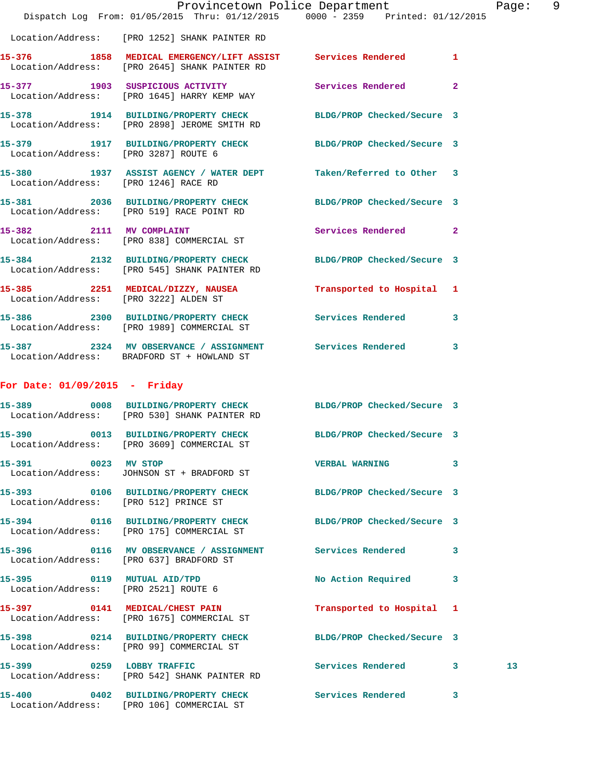|                                       | Dispatch Log From: 01/05/2015 Thru: 01/12/2015 0000 - 2359 Printed: 01/12/2015                                 | Provincetown Police Department |                         | Page: 9         |  |
|---------------------------------------|----------------------------------------------------------------------------------------------------------------|--------------------------------|-------------------------|-----------------|--|
|                                       | Location/Address: [PRO 1252] SHANK PAINTER RD                                                                  |                                |                         |                 |  |
|                                       | 15-376 1858 MEDICAL EMERGENCY/LIFT ASSIST Services Rendered<br>Location/Address: [PRO 2645] SHANK PAINTER RD   |                                | $\mathbf{1}$            |                 |  |
|                                       | 15-377 1903 SUSPICIOUS ACTIVITY<br>Location/Address: [PRO 1645] HARRY KEMP WAY                                 | <b>Services Rendered</b> 2     |                         |                 |  |
|                                       | 15-378 1914 BUILDING/PROPERTY CHECK BLDG/PROP Checked/Secure 3<br>Location/Address: [PRO 2898] JEROME SMITH RD |                                |                         |                 |  |
| Location/Address: [PRO 3287] ROUTE 6  | 15-379 1917 BUILDING/PROPERTY CHECK BLDG/PROP Checked/Secure 3                                                 |                                |                         |                 |  |
| Location/Address: [PRO 1246] RACE RD  | 15-380 1937 ASSIST AGENCY / WATER DEPT Taken/Referred to Other 3                                               |                                |                         |                 |  |
|                                       | 15-381 2036 BUILDING/PROPERTY CHECK BLDG/PROP Checked/Secure 3<br>Location/Address: [PRO 519] RACE POINT RD    |                                |                         |                 |  |
| 15-382 2111 MV COMPLAINT              | Location/Address: [PRO 838] COMMERCIAL ST                                                                      | Services Rendered 2            |                         |                 |  |
|                                       | 15-384 2132 BUILDING/PROPERTY CHECK BLDG/PROP Checked/Secure 3<br>Location/Address: [PRO 545] SHANK PAINTER RD |                                |                         |                 |  |
|                                       | 15-385 2251 MEDICAL/DIZZY, NAUSEA Transported to Hospital 1<br>Location/Address: [PRO 3222] ALDEN ST           |                                |                         |                 |  |
|                                       | 15-386 2300 BUILDING/PROPERTY CHECK Services Rendered<br>Location/Address: [PRO 1989] COMMERCIAL ST            |                                | $\overline{\mathbf{3}}$ |                 |  |
|                                       | 15-387 2324 MV OBSERVANCE / ASSIGNMENT Services Rendered 3<br>Location/Address: BRADFORD ST + HOWLAND ST       |                                |                         |                 |  |
| For Date: $01/09/2015$ - Friday       |                                                                                                                |                                |                         |                 |  |
|                                       | 15-389 0008 BUILDING/PROPERTY CHECK BLDG/PROP Checked/Secure 3<br>Location/Address: [PRO 530] SHANK PAINTER RD |                                |                         |                 |  |
|                                       | 15-390 0013 BUILDING/PROPERTY CHECK BLDG/PROP Checked/Secure 3<br>Location/Address: [PRO 3609] COMMERCIAL ST   |                                |                         |                 |  |
| 15-391 0023 MV STOP                   | Location/Address: JOHNSON ST + BRADFORD ST                                                                     | VERBAL WARNING 3               |                         |                 |  |
| Location/Address: [PRO 512] PRINCE ST | 15-393 0106 BUILDING/PROPERTY CHECK BLDG/PROP Checked/Secure 3                                                 |                                |                         |                 |  |
|                                       | 15-394 0116 BUILDING/PROPERTY CHECK BLDG/PROP Checked/Secure 3<br>Location/Address: [PRO 175] COMMERCIAL ST    |                                |                         |                 |  |
|                                       | 15-396 		 0116 MV OBSERVANCE / ASSIGNMENT Services Rendered 3<br>Location/Address: [PRO 637] BRADFORD ST       |                                |                         |                 |  |
| Location/Address: [PRO 2521] ROUTE 6  | 15-395 0119 MUTUAL AID/TPD                                                                                     | No Action Required 3           |                         |                 |  |
|                                       | 15-397 0141 MEDICAL/CHEST PAIN<br>Location/Address: [PRO 1675] COMMERCIAL ST                                   | Transported to Hospital 1      |                         |                 |  |
|                                       | 15-398 0214 BUILDING/PROPERTY CHECK BLDG/PROP Checked/Secure 3<br>Location/Address: [PRO 99] COMMERCIAL ST     |                                |                         |                 |  |
|                                       | 15-399 0259 LOBBY TRAFFIC<br>Location/Address: [PRO 542] SHANK PAINTER RD                                      | Services Rendered 3            |                         | 13 <sub>1</sub> |  |
|                                       | 15-400 0402 BUILDING/PROPERTY CHECK<br>Location/Address: [PRO 106] COMMERCIAL ST                               | Services Rendered 3            |                         |                 |  |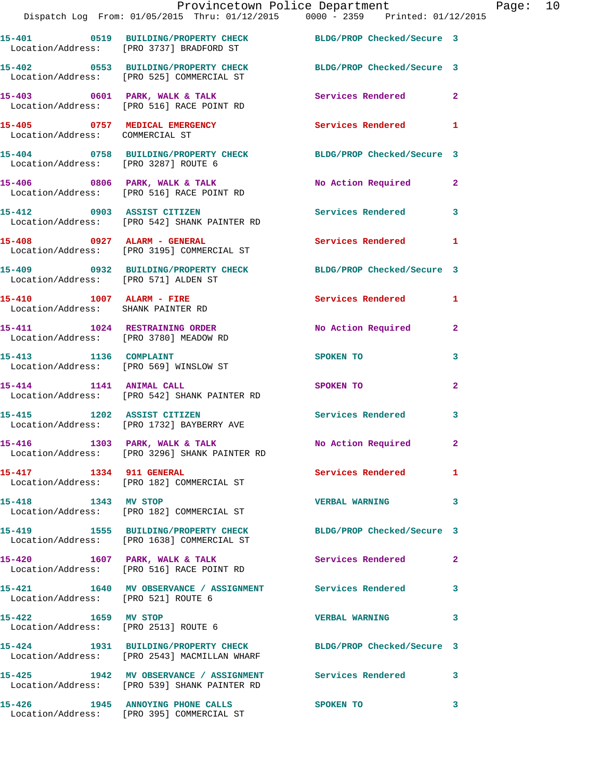|                                                                 | Provincetown Police Department Page: 10<br>Dispatch Log From: 01/05/2015 Thru: 01/12/2015 0000 - 2359 Printed: 01/12/2015 |                             |              |  |
|-----------------------------------------------------------------|---------------------------------------------------------------------------------------------------------------------------|-----------------------------|--------------|--|
|                                                                 | 15-401 0519 BUILDING/PROPERTY CHECK BLDG/PROP Checked/Secure 3<br>Location/Address: [PRO 3737] BRADFORD ST                |                             |              |  |
|                                                                 | 15-402 0553 BUILDING/PROPERTY CHECK BLDG/PROP Checked/Secure 3<br>Location/Address: [PRO 525] COMMERCIAL ST               |                             |              |  |
|                                                                 | 15-403 0601 PARK, WALK & TALK 2 Services Rendered 2<br>Location/Address: [PRO 516] RACE POINT RD                          |                             |              |  |
| Location/Address: COMMERCIAL ST                                 | 15-405 0757 MEDICAL EMERGENCY Services Rendered 1                                                                         |                             |              |  |
|                                                                 | 15-404 0758 BUILDING/PROPERTY CHECK BLDG/PROP Checked/Secure 3<br>Location/Address: [PRO 3287] ROUTE 6                    |                             |              |  |
|                                                                 | 15-406 0806 PARK, WALK & TALK<br>Location/Address: [PRO 516] RACE POINT RD                                                | No Action Required 2        |              |  |
|                                                                 | 15-412 0903 ASSIST CITIZEN<br>Location/Address: [PRO 542] SHANK PAINTER RD                                                | Services Rendered 3         |              |  |
|                                                                 | 15-408 0927 ALARM - GENERAL<br>Location/Address: [PRO 3195] COMMERCIAL ST                                                 | Services Rendered           | $\mathbf{1}$ |  |
| Location/Address: [PRO 571] ALDEN ST                            | 15-409 0932 BUILDING/PROPERTY CHECK BLDG/PROP Checked/Secure 3                                                            |                             |              |  |
| 15-410 1007 ALARM - FIRE<br>Location/Address: SHANK PAINTER RD  |                                                                                                                           | Services Rendered 1         |              |  |
|                                                                 | 15-411 1024 RESTRAINING ORDER<br>Location/Address: [PRO 3780] MEADOW RD                                                   | No Action Required 2        |              |  |
| 15-413 1136 COMPLAINT<br>Location/Address: [PRO 569] WINSLOW ST |                                                                                                                           | SPOKEN TO                   | 3            |  |
| 15-414 1141 ANIMAL CALL                                         | Location/Address: [PRO 542] SHANK PAINTER RD                                                                              | SPOKEN TO AND THE SPOKEN TO | $\mathbf{2}$ |  |
|                                                                 | 15-415 1202 ASSIST CITIZEN<br>Location/Address: [PRO 1732] BAYBERRY AVE                                                   | Services Rendered           | 3            |  |
|                                                                 | 15-416 1303 PARK, WALK & TALK<br>Location/Address: [PRO 3296] SHANK PAINTER RD                                            | No Action Required 2        |              |  |
| 15-417 1334 911 GENERAL                                         | Location/Address: [PRO 182] COMMERCIAL ST                                                                                 | Services Rendered 1         |              |  |
| 15-418 1343 MV STOP                                             | Location/Address: [PRO 182] COMMERCIAL ST                                                                                 | <b>VERBAL WARNING</b>       | 3            |  |
|                                                                 | 15-419 1555 BUILDING/PROPERTY CHECK BLDG/PROP Checked/Secure 3<br>Location/Address: [PRO 1638] COMMERCIAL ST              |                             |              |  |
|                                                                 | 15-420 1607 PARK, WALK & TALK<br>Location/Address: [PRO 516] RACE POINT RD                                                | Services Rendered 2         |              |  |
| Location/Address: [PRO 521] ROUTE 6                             | 15-421 1640 MV OBSERVANCE / ASSIGNMENT Services Rendered                                                                  |                             | 3            |  |
| 15-422 1659 MV STOP                                             | Location/Address: [PRO 2513] ROUTE 6                                                                                      | VERBAL WARNING 3            |              |  |
|                                                                 | 15-424 1931 BUILDING/PROPERTY CHECK BLDG/PROP Checked/Secure 3<br>Location/Address: [PRO 2543] MACMILLAN WHARF            |                             |              |  |
|                                                                 | 15-425 1942 MV OBSERVANCE / ASSIGNMENT Services Rendered 3<br>Location/Address: [PRO 539] SHANK PAINTER RD                |                             |              |  |
|                                                                 |                                                                                                                           |                             |              |  |

**15-426 1945 ANNOYING PHONE CALLS SPOKEN TO 3** 

Location/Address: [PRO 395] COMMERCIAL ST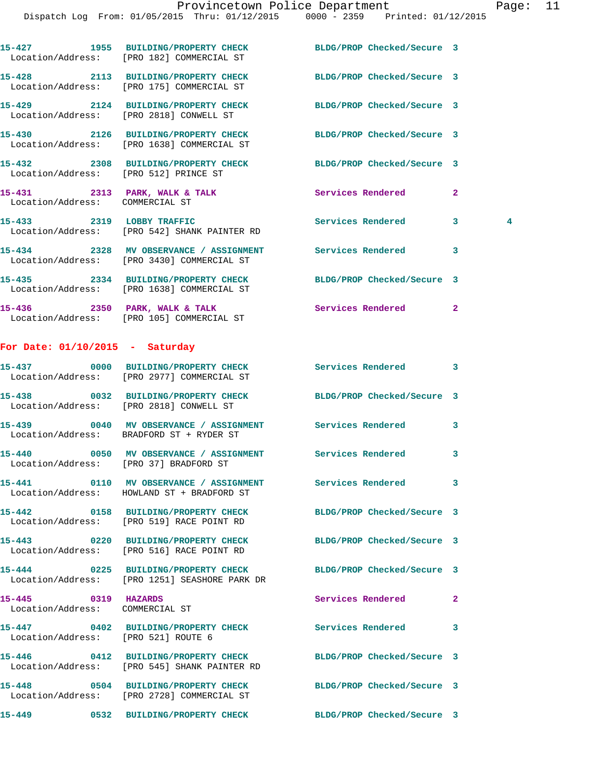|                                         | 15-427 1955 BUILDING/PROPERTY CHECK BLDG/PROP Checked/Secure 3<br>Location/Address: [PRO 182] COMMERCIAL ST  |                            |                |                |
|-----------------------------------------|--------------------------------------------------------------------------------------------------------------|----------------------------|----------------|----------------|
|                                         | 15-428 2113 BUILDING/PROPERTY CHECK BLDG/PROP Checked/Secure 3<br>Location/Address: [PRO 175] COMMERCIAL ST  |                            |                |                |
|                                         | 15-429 2124 BUILDING/PROPERTY CHECK<br>Location/Address: [PRO 2818] CONWELL ST                               | BLDG/PROP Checked/Secure 3 |                |                |
|                                         | 15-430 2126 BUILDING/PROPERTY CHECK BLDG/PROP Checked/Secure 3<br>Location/Address: [PRO 1638] COMMERCIAL ST |                            |                |                |
| Location/Address: [PRO 512] PRINCE ST   | 15-432 2308 BUILDING/PROPERTY CHECK BLDG/PROP Checked/Secure 3                                               |                            |                |                |
| Location/Address: COMMERCIAL ST         | 15-431 2313 PARK, WALK & TALK 2008 Services Rendered                                                         |                            | $\overline{2}$ |                |
|                                         | 15-433 2319 LOBBY TRAFFIC<br>Location/Address: [PRO 542] SHANK PAINTER RD                                    | <b>Services Rendered</b>   | 3              | $\overline{4}$ |
|                                         | 15-434 2328 MV OBSERVANCE / ASSIGNMENT Services Rendered<br>Location/Address: [PRO 3430] COMMERCIAL ST       |                            | 3              |                |
|                                         | 15-435 2334 BUILDING/PROPERTY CHECK BLDG/PROP Checked/Secure 3<br>Location/Address: [PRO 1638] COMMERCIAL ST |                            |                |                |
|                                         | 15-436 2350 PARK, WALK & TALK<br>Location/Address: [PRO 105] COMMERCIAL ST                                   | Services Rendered          | $\mathbf{2}$   |                |
| For Date: $01/10/2015$ - Saturday       |                                                                                                              |                            |                |                |
|                                         | 15-437 0000 BUILDING/PROPERTY CHECK Services Rendered<br>Location/Address: [PRO 2977] COMMERCIAL ST          |                            | 3              |                |
| Location/Address: [PRO 2818] CONWELL ST | 15-438 0032 BUILDING/PROPERTY CHECK BLDG/PROP Checked/Secure 3                                               |                            |                |                |

**15-439 0040 MV OBSERVANCE / ASSIGNMENT Services Rendered 3**  Location/Address: BRADFORD ST + RYDER ST **15-440 0050 MV OBSERVANCE / ASSIGNMENT Services Rendered 3**  Location/Address: [PRO 37] BRADFORD ST

**15-441 0110 MV OBSERVANCE / ASSIGNMENT Services Rendered 3**  Location/Address: HOWLAND ST + BRADFORD ST

**15-442 0158 BUILDING/PROPERTY CHECK BLDG/PROP Checked/Secure 3**  Location/Address: [PRO 519] RACE POINT RD

**15-443 0220 BUILDING/PROPERTY CHECK BLDG/PROP Checked/Secure 3**  Location/Address: [PRO 516] RACE POINT RD

**15-444 0225 BUILDING/PROPERTY CHECK BLDG/PROP Checked/Secure 3**  Location/Address: [PRO 1251] SEASHORE PARK DR

**15-445 0319 HAZARDS Services Rendered 2**  Location/Address: COMMERCIAL ST

Location/Address: [PRO 521] ROUTE 6

Location/Address: [PRO 545] SHANK PAINTER RD

**15-447 0402 BUILDING/PROPERTY CHECK Services Rendered 3** 

**15-446 0412 BUILDING/PROPERTY CHECK BLDG/PROP Checked/Secure 3** 

**15-448 0504 BUILDING/PROPERTY CHECK BLDG/PROP Checked/Secure 3**  Location/Address: [PRO 2728] COMMERCIAL ST

**15-449 0532 BUILDING/PROPERTY CHECK BLDG/PROP Checked/Secure 3**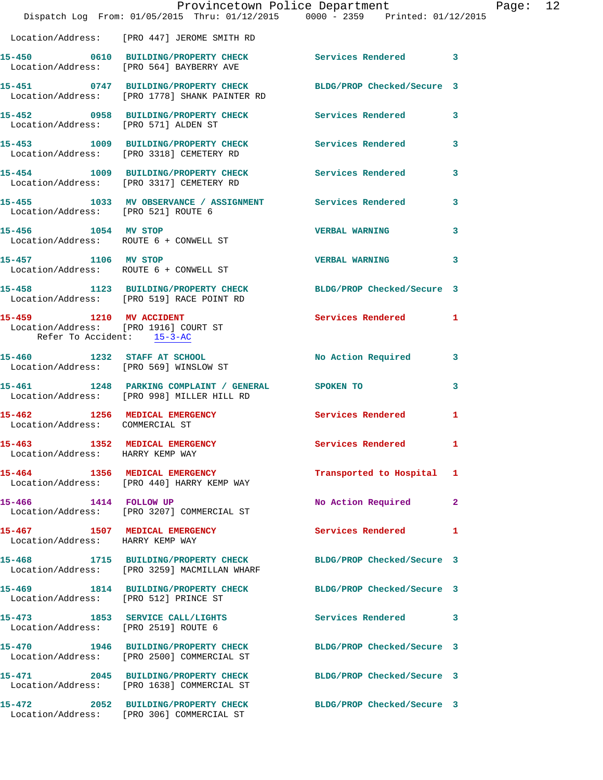|                                                                   | Provincetown Police Department<br>Dispatch Log From: 01/05/2015 Thru: 01/12/2015 0000 - 2359 Printed: 01/12/2015 |                            |                |
|-------------------------------------------------------------------|------------------------------------------------------------------------------------------------------------------|----------------------------|----------------|
|                                                                   | Location/Address: [PRO 447] JEROME SMITH RD                                                                      |                            |                |
|                                                                   | 15-450 0610 BUILDING/PROPERTY CHECK<br>Location/Address: [PRO 564] BAYBERRY AVE                                  | Services Rendered 3        |                |
|                                                                   | 15-451 0747 BUILDING/PROPERTY CHECK BLDG/PROP Checked/Secure 3<br>Location/Address: [PRO 1778] SHANK PAINTER RD  |                            |                |
|                                                                   | 15-452 0958 BUILDING/PROPERTY CHECK Services Rendered<br>Location/Address: [PRO 571] ALDEN ST                    |                            | 3              |
|                                                                   | 15-453 1009 BUILDING/PROPERTY CHECK Services Rendered<br>Location/Address: [PRO 3318] CEMETERY RD                |                            | 3              |
|                                                                   | 15-454 1009 BUILDING/PROPERTY CHECK<br>Location/Address: [PRO 3317] CEMETERY RD                                  | Services Rendered          | 3              |
| Location/Address: [PRO 521] ROUTE 6                               | 15-455 1033 MV OBSERVANCE / ASSIGNMENT Services Rendered                                                         |                            | 3              |
| 15-456 1054 MV STOP                                               | Location/Address: ROUTE 6 + CONWELL ST                                                                           | <b>VERBAL WARNING</b>      | 3              |
|                                                                   | 15-457 1106 MV STOP<br>Location/Address: ROUTE 6 + CONWELL ST                                                    | <b>VERBAL WARNING</b>      | 3              |
|                                                                   | 15-458 1123 BUILDING/PROPERTY CHECK BLDG/PROP Checked/Secure 3<br>Location/Address: [PRO 519] RACE POINT RD      |                            |                |
| Refer To Accident: 15-3-AC                                        | 15-459 1210 MV ACCIDENT<br>Location/Address: [PRO 1916] COURT ST                                                 | <b>Services Rendered</b>   | 1              |
|                                                                   | 15-460 1232 STAFF AT SCHOOL<br>Location/Address: [PRO 569] WINSLOW ST                                            | No Action Required         | 3              |
|                                                                   | 15-461 1248 PARKING COMPLAINT / GENERAL SPOKEN TO<br>Location/Address: [PRO 998] MILLER HILL RD                  |                            | 3              |
| 15-462 1256 MEDICAL EMERGENCY<br>Location/Address: COMMERCIAL ST  |                                                                                                                  | <b>Services Rendered</b>   | 1              |
| 15-463 1352 MEDICAL EMERGENCY<br>Location/Address: HARRY KEMP WAY |                                                                                                                  | Services Rendered          | 1              |
|                                                                   | 15-464 1356 MEDICAL EMERGENCY<br>Location/Address: [PRO 440] HARRY KEMP WAY                                      | Transported to Hospital    | 1              |
| 15-466 1414 FOLLOW UP                                             | Location/Address: [PRO 3207] COMMERCIAL ST                                                                       | No Action Required         | $\overline{2}$ |
| 15-467 1507 MEDICAL EMERGENCY<br>Location/Address: HARRY KEMP WAY |                                                                                                                  | Services Rendered          | 1              |
|                                                                   | 15-468 1715 BUILDING/PROPERTY CHECK<br>Location/Address: [PRO 3259] MACMILLAN WHARF                              | BLDG/PROP Checked/Secure 3 |                |
| Location/Address: [PRO 512] PRINCE ST                             | 15-469 1814 BUILDING/PROPERTY CHECK                                                                              | BLDG/PROP Checked/Secure 3 |                |
| Location/Address: [PRO 2519] ROUTE 6                              | 15-473 1853 SERVICE CALL/LIGHTS                                                                                  | <b>Services Rendered</b>   | 3              |
|                                                                   | 15-470 1946 BUILDING/PROPERTY CHECK<br>Location/Address: [PRO 2500] COMMERCIAL ST                                | BLDG/PROP Checked/Secure 3 |                |
|                                                                   | 15-471 2045 BUILDING/PROPERTY CHECK<br>Location/Address: [PRO 1638] COMMERCIAL ST                                | BLDG/PROP Checked/Secure 3 |                |
| 15-472                                                            | 2052 BUILDING/PROPERTY CHECK<br>Location/Address: [PRO 306] COMMERCIAL ST                                        | BLDG/PROP Checked/Secure 3 |                |

Page: 12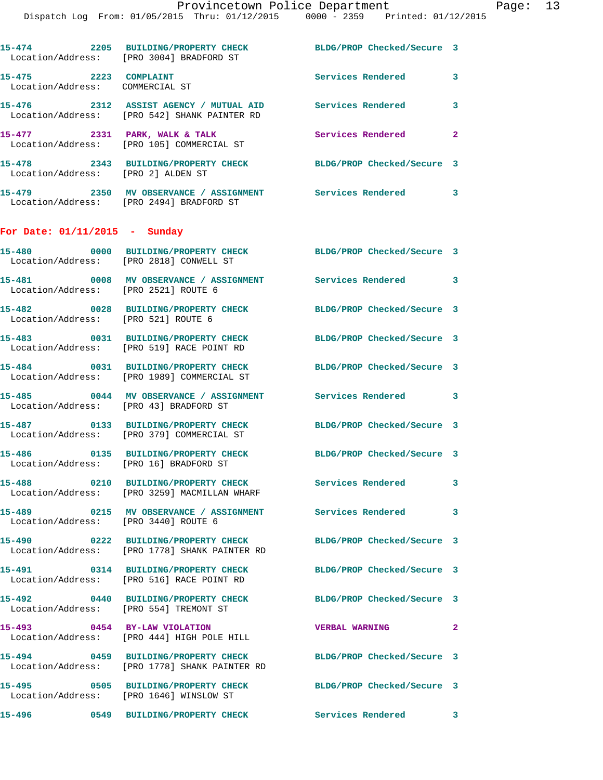|                                                          | Dispatch Log From: 01/05/2015 Thru: 01/12/2015 0000 - 2359 Printed: 01/12/2015                           |                            |                |
|----------------------------------------------------------|----------------------------------------------------------------------------------------------------------|----------------------------|----------------|
|                                                          | 15-474 2205 BUILDING/PROPERTY CHECK<br>Location/Address: [PRO 3004] BRADFORD ST                          | BLDG/PROP Checked/Secure 3 |                |
| 15-475 2223 COMPLAINT<br>Location/Address: COMMERCIAL ST |                                                                                                          | Services Rendered          | 3              |
|                                                          | 15-476 2312 ASSIST AGENCY / MUTUAL AID Services Rendered<br>Location/Address: [PRO 542] SHANK PAINTER RD |                            | 3              |
|                                                          | 15-477 2331 PARK, WALK & TALK<br>Location/Address: [PRO 105] COMMERCIAL ST                               | <b>Services Rendered</b>   | $\overline{2}$ |
| Location/Address: [PRO 2] ALDEN ST                       | 15-478 2343 BUILDING/PROPERTY CHECK BLDG/PROP Checked/Secure 3                                           |                            |                |
|                                                          | 15-479 2350 MV OBSERVANCE / ASSIGNMENT Services Rendered<br>Location/Address: [PRO 2494] BRADFORD ST     |                            | 3              |
| For Date: $01/11/2015$ - Sunday                          |                                                                                                          |                            |                |
| Location/Address: [PRO 2818] CONWELL ST                  | 15-480 0000 BUILDING/PROPERTY CHECK BLDG/PROP Checked/Secure 3                                           |                            |                |
| Location/Address: [PRO 2521] ROUTE 6                     | 15-481 0008 MV OBSERVANCE / ASSIGNMENT Services Rendered                                                 |                            | 3              |
| Location/Address: [PRO 521] ROUTE 6                      | 15-482 0028 BUILDING/PROPERTY CHECK                                                                      | BLDG/PROP Checked/Secure 3 |                |
|                                                          | 15-483 0031 BUILDING/PROPERTY CHECK<br>Location/Address: [PRO 519] RACE POINT RD                         | BLDG/PROP Checked/Secure 3 |                |
|                                                          | 15-484 0031 BUILDING/PROPERTY CHECK<br>Location/Address: [PRO 1989] COMMERCIAL ST                        | BLDG/PROP Checked/Secure 3 |                |
| Location/Address: [PRO 43] BRADFORD ST                   | 15-485 0044 MV OBSERVANCE / ASSIGNMENT Services Rendered                                                 |                            | 3              |
|                                                          | 15-487 0133 BUILDING/PROPERTY CHECK<br>Location/Address: [PRO 379] COMMERCIAL ST                         | BLDG/PROP Checked/Secure 3 |                |
| Location/Address: [PRO 16] BRADFORD ST                   | 15-486  0135 BUILDING/PROPERTY CHECK                                                                     | BLDG/PROP Checked/Secure 3 |                |
|                                                          | 15-488 0210 BUILDING/PROPERTY CHECK<br>Location/Address: [PRO 3259] MACMILLAN WHARF                      | Services Rendered          | 3              |
| 15-489<br>Location/Address: [PRO 3440] ROUTE 6           | 0215 MV OBSERVANCE / ASSIGNMENT Services Rendered                                                        |                            | 3              |
|                                                          | 15-490 0222 BUILDING/PROPERTY CHECK<br>Location/Address: [PRO 1778] SHANK PAINTER RD                     | BLDG/PROP Checked/Secure 3 |                |
|                                                          | 15-491 0314 BUILDING/PROPERTY CHECK<br>Location/Address: [PRO 516] RACE POINT RD                         | BLDG/PROP Checked/Secure 3 |                |
| Location/Address: [PRO 554] TREMONT ST                   | 15-492 0440 BUILDING/PROPERTY CHECK                                                                      | BLDG/PROP Checked/Secure 3 |                |

- **15-493 0454 BY-LAW VIOLATION VERBAL WARNING 2**  Location/Address: [PRO 444] HIGH POLE HILL
- **15-494 0459 BUILDING/PROPERTY CHECK BLDG/PROP Checked/Secure 3**  Location/Address: [PRO 1778] SHANK PAINTER RD
- **15-495 0505 BUILDING/PROPERTY CHECK BLDG/PROP Checked/Secure 3**  Location/Address: [PRO 1646] WINSLOW ST
- **15-496 0549 BUILDING/PROPERTY CHECK Services Rendered 3**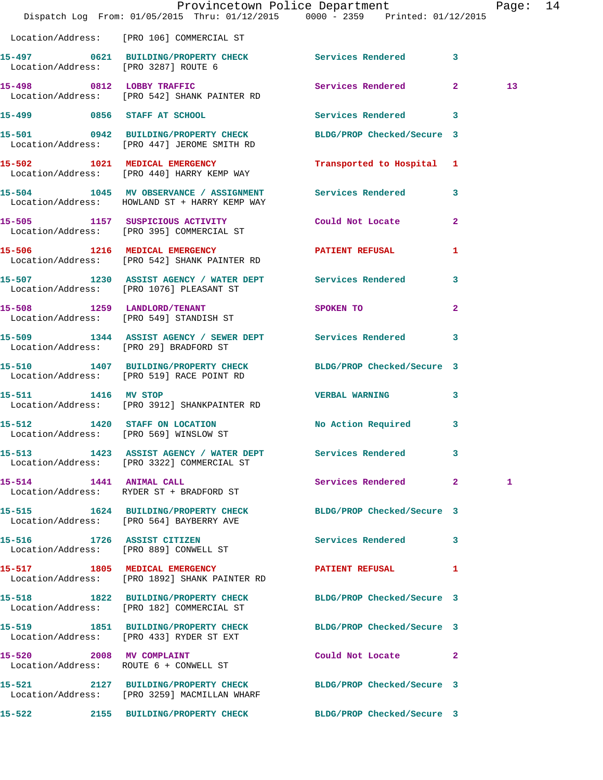|                                        | Dispatch Log From: 01/05/2015 Thru: 01/12/2015 0000 - 2359 Printed: 01/12/2015                                 | Provincetown Police Department |              | Page: 14        |  |
|----------------------------------------|----------------------------------------------------------------------------------------------------------------|--------------------------------|--------------|-----------------|--|
|                                        | Location/Address: [PRO 106] COMMERCIAL ST                                                                      |                                |              |                 |  |
|                                        | 15-497 0621 BUILDING/PROPERTY CHECK Services Rendered 3<br>Location/Address: [PRO 3287] ROUTE 6                |                                |              |                 |  |
|                                        | 15-498 0812 LOBBY TRAFFIC<br>Location/Address: [PRO 542] SHANK PAINTER RD                                      | Services Rendered 2            |              | 13 <sup>7</sup> |  |
|                                        | 15-499 0856 STAFF AT SCHOOL CHOOP Services Rendered 3                                                          |                                |              |                 |  |
|                                        | 15-501 0942 BUILDING/PROPERTY CHECK BLDG/PROP Checked/Secure 3<br>Location/Address: [PRO 447] JEROME SMITH RD  |                                |              |                 |  |
|                                        | 15-502 1021 MEDICAL EMERGENCY<br>Location/Address: [PRO 440] HARRY KEMP WAY                                    | Transported to Hospital 1      |              |                 |  |
|                                        | 15-504 1045 MV OBSERVANCE / ASSIGNMENT Services Rendered 3<br>Location/Address: HOWLAND ST + HARRY KEMP WAY    |                                |              |                 |  |
|                                        | 15-505 1157 SUSPICIOUS ACTIVITY Could Not Locate 2<br>Location/Address: [PRO 395] COMMERCIAL ST                |                                |              |                 |  |
|                                        | 15-506 1216 MEDICAL EMERGENCY PATIENT REFUSAL<br>Location/Address: [PRO 542] SHANK PAINTER RD                  |                                | $\mathbf{1}$ |                 |  |
|                                        | 15-507 1230 ASSIST AGENCY / WATER DEPT Services Rendered 3<br>Location/Address: [PRO 1076] PLEASANT ST         |                                |              |                 |  |
|                                        | 15-508 1259 LANDLORD/TENANT<br>Location/Address: [PRO 549] STANDISH ST                                         | SPOKEN TO                      | $\mathbf{2}$ |                 |  |
| Location/Address: [PRO 29] BRADFORD ST | 15-509 1344 ASSIST AGENCY / SEWER DEPT Services Rendered 3                                                     |                                |              |                 |  |
|                                        | 15-510 1407 BUILDING/PROPERTY CHECK BLDG/PROP Checked/Secure 3<br>Location/Address: [PRO 519] RACE POINT RD    |                                |              |                 |  |
|                                        | 15-511 1416 MV STOP<br>Location/Address: [PRO 3912] SHANKPAINTER RD                                            | <b>VERBAL WARNING</b>          | $\mathbf{3}$ |                 |  |
|                                        | 15-512 1420 STAFF ON LOCATION No Action Required 3<br>Location/Address: [PRO 569] WINSLOW ST                   |                                |              |                 |  |
|                                        | 15-513 1423 ASSIST AGENCY / WATER DEPT Services Rendered 3<br>Location/Address: [PRO 3322] COMMERCIAL ST       |                                |              |                 |  |
|                                        | 15-514 1441 ANIMAL CALL<br>Location/Address: RYDER ST + BRADFORD ST                                            | Services Rendered 2            |              | 1               |  |
|                                        | 15-515 1624 BUILDING/PROPERTY CHECK BLDG/PROP Checked/Secure 3<br>Location/Address: [PRO 564] BAYBERRY AVE     |                                |              |                 |  |
|                                        | 15-516 1726 ASSIST CITIZEN<br>Location/Address: [PRO 889] CONWELL ST                                           | Services Rendered 3            |              |                 |  |
|                                        | 15-517 1805 MEDICAL EMERGENCY<br>Location/Address: [PRO 1892] SHANK PAINTER RD                                 | PATIENT REFUSAL 1              |              |                 |  |
|                                        | 15-518 1822 BUILDING/PROPERTY CHECK BLDG/PROP Checked/Secure 3<br>Location/Address: [PRO 182] COMMERCIAL ST    |                                |              |                 |  |
|                                        | 15-519 1851 BUILDING/PROPERTY CHECK BLDG/PROP Checked/Secure 3<br>Location/Address: [PRO 433] RYDER ST EXT     |                                |              |                 |  |
|                                        | 15-520 2008 MV COMPLAINT<br>Location/Address: ROUTE 6 + CONWELL ST                                             | Could Not Locate 2             |              |                 |  |
|                                        | 15-521 2127 BUILDING/PROPERTY CHECK BLDG/PROP Checked/Secure 3<br>Location/Address: [PRO 3259] MACMILLAN WHARF |                                |              |                 |  |
| 15-522                                 | 2155 BUILDING/PROPERTY CHECK BLDG/PROP Checked/Secure 3                                                        |                                |              |                 |  |